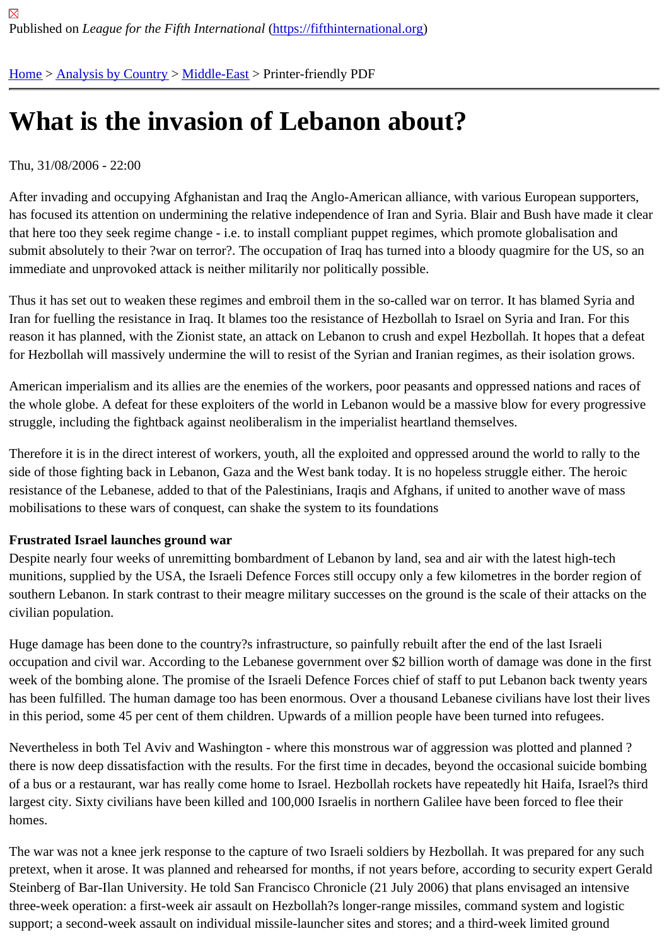# [Wh](https://fifthinternational.org/)[at is the in](https://fifthinternational.org/category/1)[vasion](https://fifthinternational.org/category/1/178) of Lebanon about?

## Thu, 31/08/2006 - 22:00

After invading and occupying Afghanistan and Iraq the Anglo-American alliance, with various European supporters, has focused its attention on undermining the relative independence of Iran and Syria. Blair and Bush have made it that here too they seek regime change - i.e. to install compliant puppet regimes, which promote globalisation and submit absolutely to their ?war on terror?. The occupation of Iraq has turned into a bloody quagmire for the US, sc immediate and unprovoked attack is neither militarily nor politically possible.

Thus it has set out to weaken these regimes and embroil them in the so-called war on terror. It has blamed Syria a Iran for fuelling the resistance in Iraq. It blames too the resistance of Hezbollah to Israel on Syria and Iran. For this reason it has planned, with the Zionist state, an attack on Lebanon to crush and expel Hezbollah. It hopes that a d for Hezbollah will massively undermine the will to resist of the Syrian and Iranian regimes, as their isolation grows.

American imperialism and its allies are the enemies of the workers, poor peasants and oppressed nations and rac the whole globe. A defeat for these exploiters of the world in Lebanon would be a massive blow for every progress struggle, including the fightback against neoliberalism in the imperialist heartland themselves.

Therefore it is in the direct interest of workers, youth, all the exploited and oppressed around the world to rally to the side of those fighting back in Lebanon, Gaza and the West bank today. It is no hopeless struggle either. The heroi resistance of the Lebanese, added to that of the Palestinians, Iraqis and Afghans, if united to another wave of mass mobilisations to these wars of conquest, can shake the system to its foundations

# Frustrated Israel launches ground war

Despite nearly four weeks of unremitting bombardment of Lebanon by land, sea and air with the latest high-tech munitions, supplied by the USA, the Israeli Defence Forces still occupy only a few kilometres in the border region o southern Lebanon. In stark contrast to their meagre military successes on the ground is the scale of their attacks o civilian population.

Huge damage has been done to the country?s infrastructure, so painfully rebuilt after the end of the last Israeli occupation and civil war. According to the Lebanese government over \$2 billion worth of damage was done in the week of the bombing alone. The promise of the Israeli Defence Forces chief of staff to put Lebanon back twenty ye has been fulfilled. The human damage too has been enormous. Over a thousand Lebanese civilians have lost thei in this period, some 45 per cent of them children. Upwards of a million people have been turned into refugees.

Nevertheless in both Tel Aviv and Washington - where this monstrous war of aggression was plotted and planned there is now deep dissatisfaction with the results. For the first time in decades, beyond the occasional suicide bom of a bus or a restaurant, war has really come home to Israel. Hezbollah rockets have repeatedly hit Haifa, Israel?s largest city. Sixty civilians have been killed and 100,000 Israelis in northern Galilee have been forced to flee their homes.

The war was not a knee jerk response to the capture of two Israeli soldiers by Hezbollah. It was prepared for any s pretext, when it arose. It was planned and rehearsed for months, if not years before, according to security expert G Steinberg of Bar-Ilan University. He told San Francisco Chronicle (21 July 2006) that plans envisaged an intensive three-week operation: a first-week air assault on Hezbollah?s longer-range missiles, command system and logistic support; a second-week assault on individual missile-launcher sites and stores; and a third-week limited ground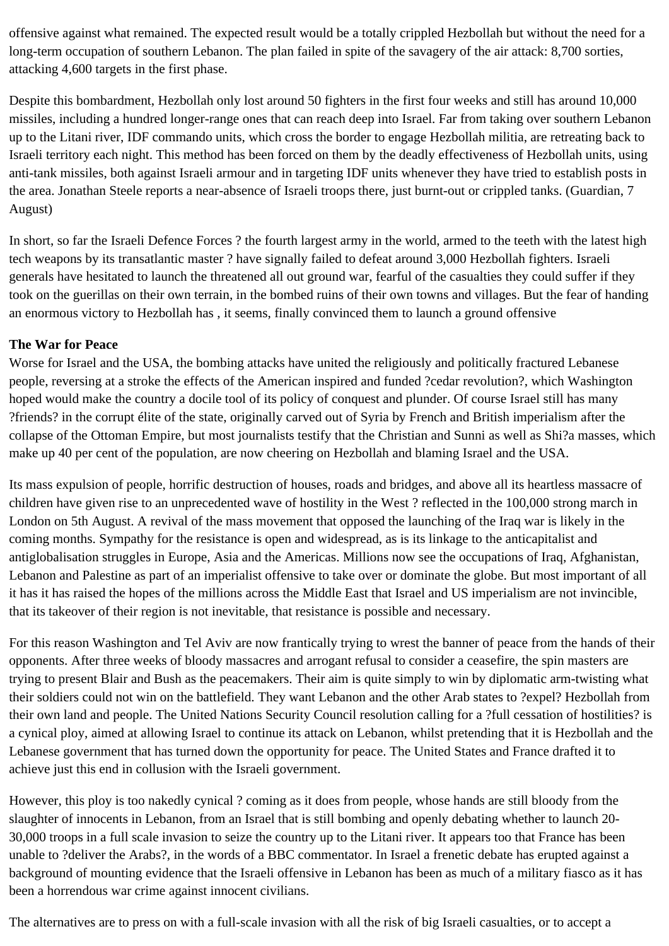offensive against what remained. The expected result would be a totally crippled Hezbollah but without the need for a long-term occupation of southern Lebanon. The plan failed in spite of the savagery of the air attack: 8,700 sorties, attacking 4,600 targets in the first phase.

Despite this bombardment, Hezbollah only lost around 50 fighters in the first four weeks and still has around 10,000 missiles, including a hundred longer-range ones that can reach deep into Israel. Far from taking over southern Lebanon up to the Litani river, IDF commando units, which cross the border to engage Hezbollah militia, are retreating back to Israeli territory each night. This method has been forced on them by the deadly effectiveness of Hezbollah units, using anti-tank missiles, both against Israeli armour and in targeting IDF units whenever they have tried to establish posts in the area. Jonathan Steele reports a near-absence of Israeli troops there, just burnt-out or crippled tanks. (Guardian, 7 August)

In short, so far the Israeli Defence Forces ? the fourth largest army in the world, armed to the teeth with the latest high tech weapons by its transatlantic master ? have signally failed to defeat around 3,000 Hezbollah fighters. Israeli generals have hesitated to launch the threatened all out ground war, fearful of the casualties they could suffer if they took on the guerillas on their own terrain, in the bombed ruins of their own towns and villages. But the fear of handing an enormous victory to Hezbollah has , it seems, finally convinced them to launch a ground offensive

#### **The War for Peace**

Worse for Israel and the USA, the bombing attacks have united the religiously and politically fractured Lebanese people, reversing at a stroke the effects of the American inspired and funded ?cedar revolution?, which Washington hoped would make the country a docile tool of its policy of conquest and plunder. Of course Israel still has many ?friends? in the corrupt élite of the state, originally carved out of Syria by French and British imperialism after the collapse of the Ottoman Empire, but most journalists testify that the Christian and Sunni as well as Shi?a masses, which make up 40 per cent of the population, are now cheering on Hezbollah and blaming Israel and the USA.

Its mass expulsion of people, horrific destruction of houses, roads and bridges, and above all its heartless massacre of children have given rise to an unprecedented wave of hostility in the West ? reflected in the 100,000 strong march in London on 5th August. A revival of the mass movement that opposed the launching of the Iraq war is likely in the coming months. Sympathy for the resistance is open and widespread, as is its linkage to the anticapitalist and antiglobalisation struggles in Europe, Asia and the Americas. Millions now see the occupations of Iraq, Afghanistan, Lebanon and Palestine as part of an imperialist offensive to take over or dominate the globe. But most important of all it has it has raised the hopes of the millions across the Middle East that Israel and US imperialism are not invincible, that its takeover of their region is not inevitable, that resistance is possible and necessary.

For this reason Washington and Tel Aviv are now frantically trying to wrest the banner of peace from the hands of their opponents. After three weeks of bloody massacres and arrogant refusal to consider a ceasefire, the spin masters are trying to present Blair and Bush as the peacemakers. Their aim is quite simply to win by diplomatic arm-twisting what their soldiers could not win on the battlefield. They want Lebanon and the other Arab states to ?expel? Hezbollah from their own land and people. The United Nations Security Council resolution calling for a ?full cessation of hostilities? is a cynical ploy, aimed at allowing Israel to continue its attack on Lebanon, whilst pretending that it is Hezbollah and the Lebanese government that has turned down the opportunity for peace. The United States and France drafted it to achieve just this end in collusion with the Israeli government.

However, this ploy is too nakedly cynical ? coming as it does from people, whose hands are still bloody from the slaughter of innocents in Lebanon, from an Israel that is still bombing and openly debating whether to launch 20- 30,000 troops in a full scale invasion to seize the country up to the Litani river. It appears too that France has been unable to ?deliver the Arabs?, in the words of a BBC commentator. In Israel a frenetic debate has erupted against a background of mounting evidence that the Israeli offensive in Lebanon has been as much of a military fiasco as it has been a horrendous war crime against innocent civilians.

The alternatives are to press on with a full-scale invasion with all the risk of big Israeli casualties, or to accept a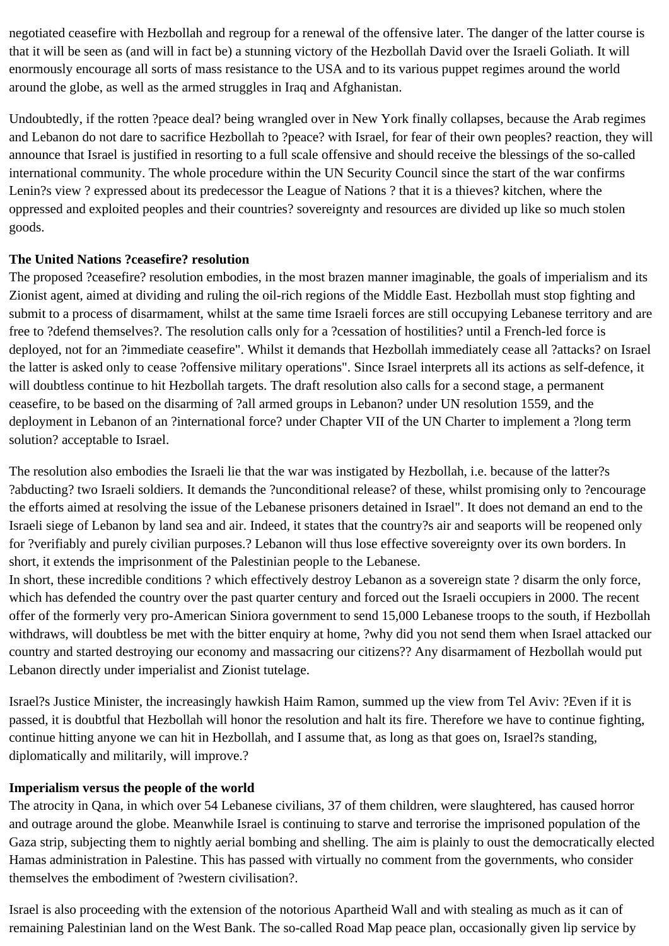negotiated ceasefire with Hezbollah and regroup for a renewal of the offensive later. The danger of the latter course is that it will be seen as (and will in fact be) a stunning victory of the Hezbollah David over the Israeli Goliath. It will enormously encourage all sorts of mass resistance to the USA and to its various puppet regimes around the world around the globe, as well as the armed struggles in Iraq and Afghanistan.

Undoubtedly, if the rotten ?peace deal? being wrangled over in New York finally collapses, because the Arab regimes and Lebanon do not dare to sacrifice Hezbollah to ?peace? with Israel, for fear of their own peoples? reaction, they will announce that Israel is justified in resorting to a full scale offensive and should receive the blessings of the so-called international community. The whole procedure within the UN Security Council since the start of the war confirms Lenin?s view ? expressed about its predecessor the League of Nations ? that it is a thieves? kitchen, where the oppressed and exploited peoples and their countries? sovereignty and resources are divided up like so much stolen goods.

#### **The United Nations ?ceasefire? resolution**

The proposed ?ceasefire? resolution embodies, in the most brazen manner imaginable, the goals of imperialism and its Zionist agent, aimed at dividing and ruling the oil-rich regions of the Middle East. Hezbollah must stop fighting and submit to a process of disarmament, whilst at the same time Israeli forces are still occupying Lebanese territory and are free to ?defend themselves?. The resolution calls only for a ?cessation of hostilities? until a French-led force is deployed, not for an ?immediate ceasefire". Whilst it demands that Hezbollah immediately cease all ?attacks? on Israel the latter is asked only to cease ?offensive military operations". Since Israel interprets all its actions as self-defence, it will doubtless continue to hit Hezbollah targets. The draft resolution also calls for a second stage, a permanent ceasefire, to be based on the disarming of ?all armed groups in Lebanon? under UN resolution 1559, and the deployment in Lebanon of an ?international force? under Chapter VII of the UN Charter to implement a ?long term solution? acceptable to Israel.

The resolution also embodies the Israeli lie that the war was instigated by Hezbollah, i.e. because of the latter?s ?abducting? two Israeli soldiers. It demands the ?unconditional release? of these, whilst promising only to ?encourage the efforts aimed at resolving the issue of the Lebanese prisoners detained in Israel". It does not demand an end to the Israeli siege of Lebanon by land sea and air. Indeed, it states that the country?s air and seaports will be reopened only for ?verifiably and purely civilian purposes.? Lebanon will thus lose effective sovereignty over its own borders. In short, it extends the imprisonment of the Palestinian people to the Lebanese.

In short, these incredible conditions ? which effectively destroy Lebanon as a sovereign state ? disarm the only force, which has defended the country over the past quarter century and forced out the Israeli occupiers in 2000. The recent offer of the formerly very pro-American Siniora government to send 15,000 Lebanese troops to the south, if Hezbollah withdraws, will doubtless be met with the bitter enquiry at home, ?why did you not send them when Israel attacked our country and started destroying our economy and massacring our citizens?? Any disarmament of Hezbollah would put Lebanon directly under imperialist and Zionist tutelage.

Israel?s Justice Minister, the increasingly hawkish Haim Ramon, summed up the view from Tel Aviv: ?Even if it is passed, it is doubtful that Hezbollah will honor the resolution and halt its fire. Therefore we have to continue fighting, continue hitting anyone we can hit in Hezbollah, and I assume that, as long as that goes on, Israel?s standing, diplomatically and militarily, will improve.?

# **Imperialism versus the people of the world**

The atrocity in Qana, in which over 54 Lebanese civilians, 37 of them children, were slaughtered, has caused horror and outrage around the globe. Meanwhile Israel is continuing to starve and terrorise the imprisoned population of the Gaza strip, subjecting them to nightly aerial bombing and shelling. The aim is plainly to oust the democratically elected Hamas administration in Palestine. This has passed with virtually no comment from the governments, who consider themselves the embodiment of ?western civilisation?.

Israel is also proceeding with the extension of the notorious Apartheid Wall and with stealing as much as it can of remaining Palestinian land on the West Bank. The so-called Road Map peace plan, occasionally given lip service by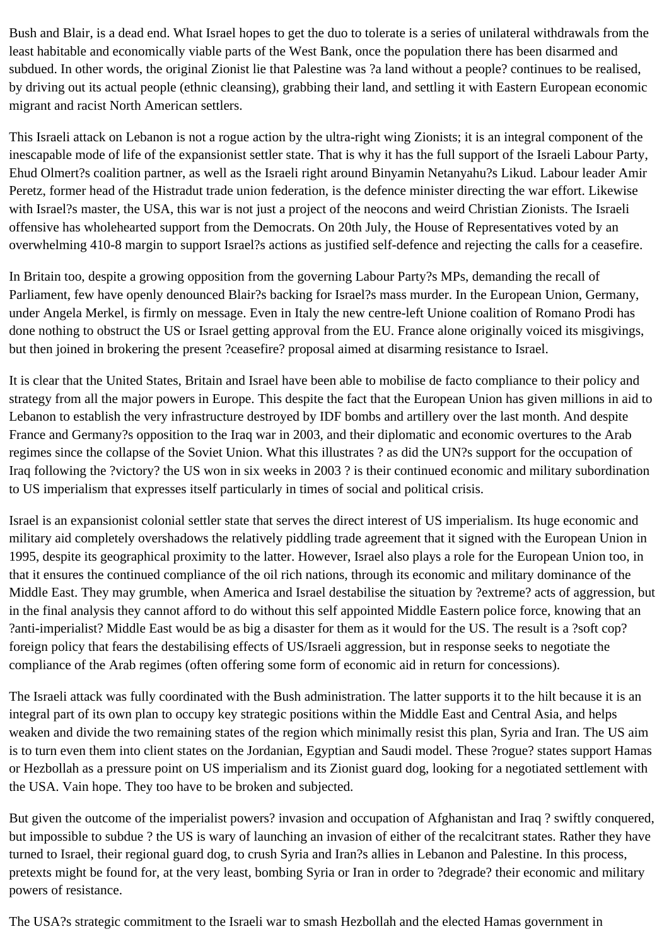Bush and Blair, is a dead end. What Israel hopes to get the duo to tolerate is a series of unilateral withdrawals from the least habitable and economically viable parts of the West Bank, once the population there has been disarmed and subdued. In other words, the original Zionist lie that Palestine was ?a land without a people? continues to be realised, by driving out its actual people (ethnic cleansing), grabbing their land, and settling it with Eastern European economic migrant and racist North American settlers.

This Israeli attack on Lebanon is not a rogue action by the ultra-right wing Zionists; it is an integral component of the inescapable mode of life of the expansionist settler state. That is why it has the full support of the Israeli Labour Party, Ehud Olmert?s coalition partner, as well as the Israeli right around Binyamin Netanyahu?s Likud. Labour leader Amir Peretz, former head of the Histradut trade union federation, is the defence minister directing the war effort. Likewise with Israel?s master, the USA, this war is not just a project of the neocons and weird Christian Zionists. The Israeli offensive has wholehearted support from the Democrats. On 20th July, the House of Representatives voted by an overwhelming 410-8 margin to support Israel?s actions as justified self-defence and rejecting the calls for a ceasefire.

In Britain too, despite a growing opposition from the governing Labour Party?s MPs, demanding the recall of Parliament, few have openly denounced Blair?s backing for Israel?s mass murder. In the European Union, Germany, under Angela Merkel, is firmly on message. Even in Italy the new centre-left Unione coalition of Romano Prodi has done nothing to obstruct the US or Israel getting approval from the EU. France alone originally voiced its misgivings, but then joined in brokering the present ?ceasefire? proposal aimed at disarming resistance to Israel.

It is clear that the United States, Britain and Israel have been able to mobilise de facto compliance to their policy and strategy from all the major powers in Europe. This despite the fact that the European Union has given millions in aid to Lebanon to establish the very infrastructure destroyed by IDF bombs and artillery over the last month. And despite France and Germany?s opposition to the Iraq war in 2003, and their diplomatic and economic overtures to the Arab regimes since the collapse of the Soviet Union. What this illustrates ? as did the UN?s support for the occupation of Iraq following the ?victory? the US won in six weeks in 2003 ? is their continued economic and military subordination to US imperialism that expresses itself particularly in times of social and political crisis.

Israel is an expansionist colonial settler state that serves the direct interest of US imperialism. Its huge economic and military aid completely overshadows the relatively piddling trade agreement that it signed with the European Union in 1995, despite its geographical proximity to the latter. However, Israel also plays a role for the European Union too, in that it ensures the continued compliance of the oil rich nations, through its economic and military dominance of the Middle East. They may grumble, when America and Israel destabilise the situation by ?extreme? acts of aggression, but in the final analysis they cannot afford to do without this self appointed Middle Eastern police force, knowing that an ?anti-imperialist? Middle East would be as big a disaster for them as it would for the US. The result is a ?soft cop? foreign policy that fears the destabilising effects of US/Israeli aggression, but in response seeks to negotiate the compliance of the Arab regimes (often offering some form of economic aid in return for concessions).

The Israeli attack was fully coordinated with the Bush administration. The latter supports it to the hilt because it is an integral part of its own plan to occupy key strategic positions within the Middle East and Central Asia, and helps weaken and divide the two remaining states of the region which minimally resist this plan, Syria and Iran. The US aim is to turn even them into client states on the Jordanian, Egyptian and Saudi model. These ?rogue? states support Hamas or Hezbollah as a pressure point on US imperialism and its Zionist guard dog, looking for a negotiated settlement with the USA. Vain hope. They too have to be broken and subjected.

But given the outcome of the imperialist powers? invasion and occupation of Afghanistan and Iraq ? swiftly conquered, but impossible to subdue ? the US is wary of launching an invasion of either of the recalcitrant states. Rather they have turned to Israel, their regional guard dog, to crush Syria and Iran?s allies in Lebanon and Palestine. In this process, pretexts might be found for, at the very least, bombing Syria or Iran in order to ?degrade? their economic and military powers of resistance.

The USA?s strategic commitment to the Israeli war to smash Hezbollah and the elected Hamas government in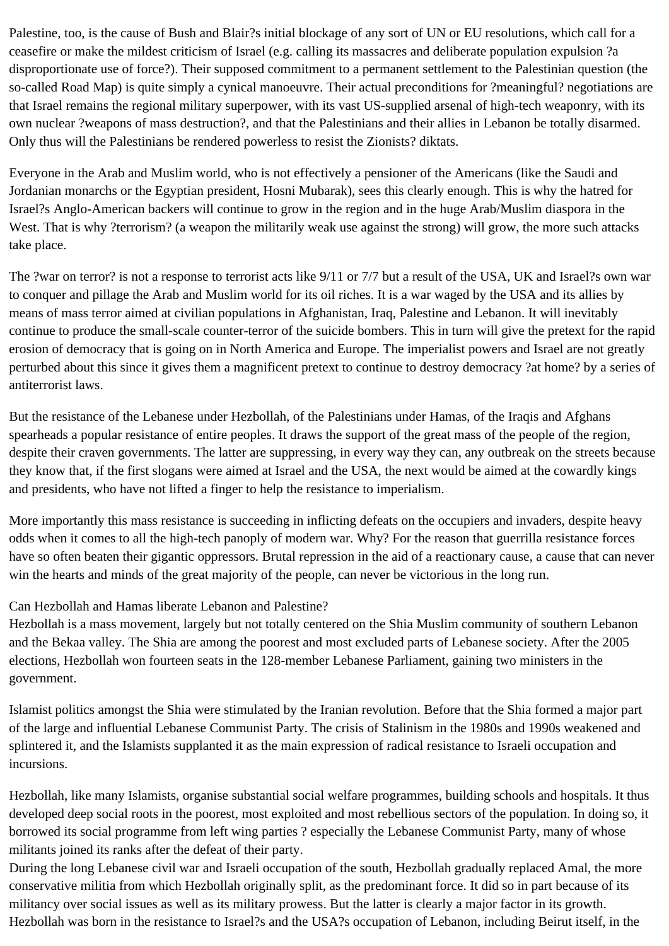Palestine, too, is the cause of Bush and Blair?s initial blockage of any sort of UN or EU resolutions, which call for a ceasefire or make the mildest criticism of Israel (e.g. calling its massacres and deliberate population expulsion ?a disproportionate use of force?). Their supposed commitment to a permanent settlement to the Palestinian question (the so-called Road Map) is quite simply a cynical manoeuvre. Their actual preconditions for ?meaningful? negotiations are that Israel remains the regional military superpower, with its vast US-supplied arsenal of high-tech weaponry, with its own nuclear ?weapons of mass destruction?, and that the Palestinians and their allies in Lebanon be totally disarmed. Only thus will the Palestinians be rendered powerless to resist the Zionists? diktats.

Everyone in the Arab and Muslim world, who is not effectively a pensioner of the Americans (like the Saudi and Jordanian monarchs or the Egyptian president, Hosni Mubarak), sees this clearly enough. This is why the hatred for Israel?s Anglo-American backers will continue to grow in the region and in the huge Arab/Muslim diaspora in the West. That is why ?terrorism? (a weapon the militarily weak use against the strong) will grow, the more such attacks take place.

The ?war on terror? is not a response to terrorist acts like 9/11 or 7/7 but a result of the USA, UK and Israel?s own war to conquer and pillage the Arab and Muslim world for its oil riches. It is a war waged by the USA and its allies by means of mass terror aimed at civilian populations in Afghanistan, Iraq, Palestine and Lebanon. It will inevitably continue to produce the small-scale counter-terror of the suicide bombers. This in turn will give the pretext for the rapid erosion of democracy that is going on in North America and Europe. The imperialist powers and Israel are not greatly perturbed about this since it gives them a magnificent pretext to continue to destroy democracy ?at home? by a series of antiterrorist laws.

But the resistance of the Lebanese under Hezbollah, of the Palestinians under Hamas, of the Iraqis and Afghans spearheads a popular resistance of entire peoples. It draws the support of the great mass of the people of the region, despite their craven governments. The latter are suppressing, in every way they can, any outbreak on the streets because they know that, if the first slogans were aimed at Israel and the USA, the next would be aimed at the cowardly kings and presidents, who have not lifted a finger to help the resistance to imperialism.

More importantly this mass resistance is succeeding in inflicting defeats on the occupiers and invaders, despite heavy odds when it comes to all the high-tech panoply of modern war. Why? For the reason that guerrilla resistance forces have so often beaten their gigantic oppressors. Brutal repression in the aid of a reactionary cause, a cause that can never win the hearts and minds of the great majority of the people, can never be victorious in the long run.

#### Can Hezbollah and Hamas liberate Lebanon and Palestine?

Hezbollah is a mass movement, largely but not totally centered on the Shia Muslim community of southern Lebanon and the Bekaa valley. The Shia are among the poorest and most excluded parts of Lebanese society. After the 2005 elections, Hezbollah won fourteen seats in the 128-member Lebanese Parliament, gaining two ministers in the government.

Islamist politics amongst the Shia were stimulated by the Iranian revolution. Before that the Shia formed a major part of the large and influential Lebanese Communist Party. The crisis of Stalinism in the 1980s and 1990s weakened and splintered it, and the Islamists supplanted it as the main expression of radical resistance to Israeli occupation and incursions.

Hezbollah, like many Islamists, organise substantial social welfare programmes, building schools and hospitals. It thus developed deep social roots in the poorest, most exploited and most rebellious sectors of the population. In doing so, it borrowed its social programme from left wing parties ? especially the Lebanese Communist Party, many of whose militants joined its ranks after the defeat of their party.

During the long Lebanese civil war and Israeli occupation of the south, Hezbollah gradually replaced Amal, the more conservative militia from which Hezbollah originally split, as the predominant force. It did so in part because of its militancy over social issues as well as its military prowess. But the latter is clearly a major factor in its growth. Hezbollah was born in the resistance to Israel?s and the USA?s occupation of Lebanon, including Beirut itself, in the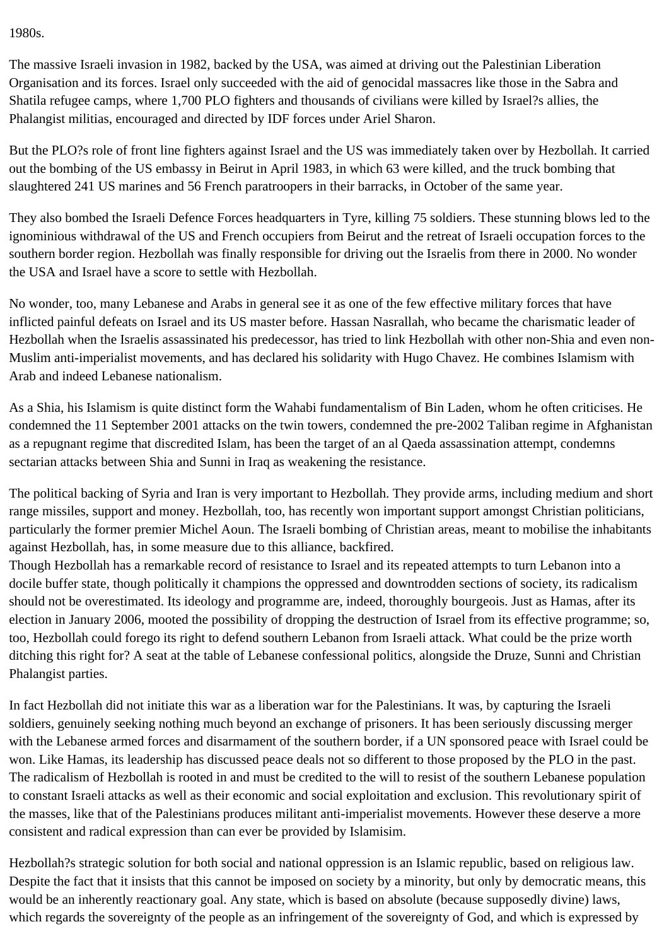1980s.

The massive Israeli invasion in 1982, backed by the USA, was aimed at driving out the Palestinian Liberation Organisation and its forces. Israel only succeeded with the aid of genocidal massacres like those in the Sabra and Shatila refugee camps, where 1,700 PLO fighters and thousands of civilians were killed by Israel?s allies, the Phalangist militias, encouraged and directed by IDF forces under Ariel Sharon.

But the PLO?s role of front line fighters against Israel and the US was immediately taken over by Hezbollah. It carried out the bombing of the US embassy in Beirut in April 1983, in which 63 were killed, and the truck bombing that slaughtered 241 US marines and 56 French paratroopers in their barracks, in October of the same year.

They also bombed the Israeli Defence Forces headquarters in Tyre, killing 75 soldiers. These stunning blows led to the ignominious withdrawal of the US and French occupiers from Beirut and the retreat of Israeli occupation forces to the southern border region. Hezbollah was finally responsible for driving out the Israelis from there in 2000. No wonder the USA and Israel have a score to settle with Hezbollah.

No wonder, too, many Lebanese and Arabs in general see it as one of the few effective military forces that have inflicted painful defeats on Israel and its US master before. Hassan Nasrallah, who became the charismatic leader of Hezbollah when the Israelis assassinated his predecessor, has tried to link Hezbollah with other non-Shia and even non-Muslim anti-imperialist movements, and has declared his solidarity with Hugo Chavez. He combines Islamism with Arab and indeed Lebanese nationalism.

As a Shia, his Islamism is quite distinct form the Wahabi fundamentalism of Bin Laden, whom he often criticises. He condemned the 11 September 2001 attacks on the twin towers, condemned the pre-2002 Taliban regime in Afghanistan as a repugnant regime that discredited Islam, has been the target of an al Qaeda assassination attempt, condemns sectarian attacks between Shia and Sunni in Iraq as weakening the resistance.

The political backing of Syria and Iran is very important to Hezbollah. They provide arms, including medium and short range missiles, support and money. Hezbollah, too, has recently won important support amongst Christian politicians, particularly the former premier Michel Aoun. The Israeli bombing of Christian areas, meant to mobilise the inhabitants against Hezbollah, has, in some measure due to this alliance, backfired.

Though Hezbollah has a remarkable record of resistance to Israel and its repeated attempts to turn Lebanon into a docile buffer state, though politically it champions the oppressed and downtrodden sections of society, its radicalism should not be overestimated. Its ideology and programme are, indeed, thoroughly bourgeois. Just as Hamas, after its election in January 2006, mooted the possibility of dropping the destruction of Israel from its effective programme; so, too, Hezbollah could forego its right to defend southern Lebanon from Israeli attack. What could be the prize worth ditching this right for? A seat at the table of Lebanese confessional politics, alongside the Druze, Sunni and Christian Phalangist parties.

In fact Hezbollah did not initiate this war as a liberation war for the Palestinians. It was, by capturing the Israeli soldiers, genuinely seeking nothing much beyond an exchange of prisoners. It has been seriously discussing merger with the Lebanese armed forces and disarmament of the southern border, if a UN sponsored peace with Israel could be won. Like Hamas, its leadership has discussed peace deals not so different to those proposed by the PLO in the past. The radicalism of Hezbollah is rooted in and must be credited to the will to resist of the southern Lebanese population to constant Israeli attacks as well as their economic and social exploitation and exclusion. This revolutionary spirit of the masses, like that of the Palestinians produces militant anti-imperialist movements. However these deserve a more consistent and radical expression than can ever be provided by Islamisim.

Hezbollah?s strategic solution for both social and national oppression is an Islamic republic, based on religious law. Despite the fact that it insists that this cannot be imposed on society by a minority, but only by democratic means, this would be an inherently reactionary goal. Any state, which is based on absolute (because supposedly divine) laws, which regards the sovereignty of the people as an infringement of the sovereignty of God, and which is expressed by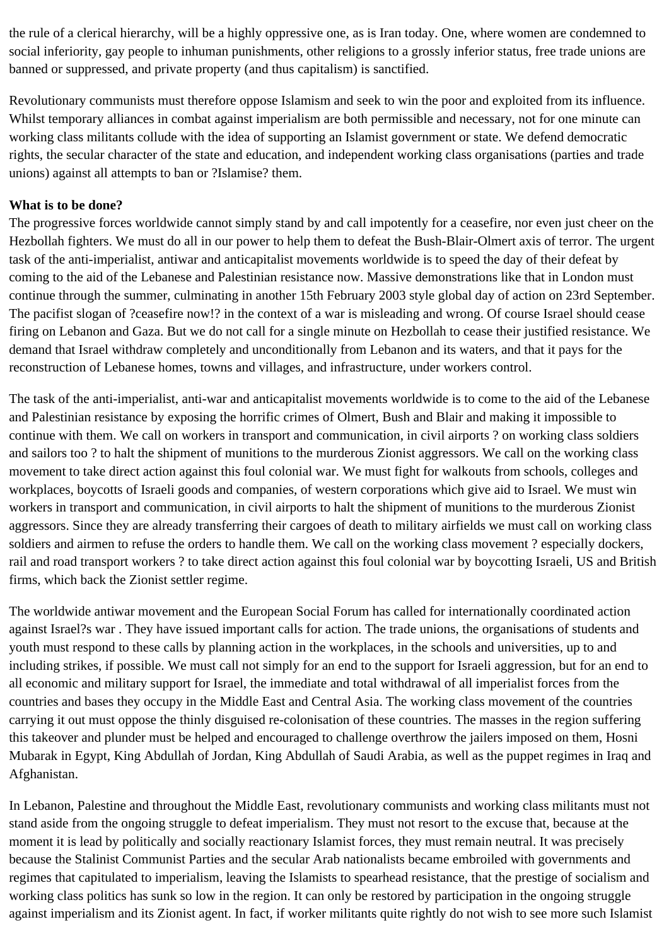the rule of a clerical hierarchy, will be a highly oppressive one, as is Iran today. One, where women are condemned to social inferiority, gay people to inhuman punishments, other religions to a grossly inferior status, free trade unions are banned or suppressed, and private property (and thus capitalism) is sanctified.

Revolutionary communists must therefore oppose Islamism and seek to win the poor and exploited from its influence. Whilst temporary alliances in combat against imperialism are both permissible and necessary, not for one minute can working class militants collude with the idea of supporting an Islamist government or state. We defend democratic rights, the secular character of the state and education, and independent working class organisations (parties and trade unions) against all attempts to ban or ?Islamise? them.

## **What is to be done?**

The progressive forces worldwide cannot simply stand by and call impotently for a ceasefire, nor even just cheer on the Hezbollah fighters. We must do all in our power to help them to defeat the Bush-Blair-Olmert axis of terror. The urgent task of the anti-imperialist, antiwar and anticapitalist movements worldwide is to speed the day of their defeat by coming to the aid of the Lebanese and Palestinian resistance now. Massive demonstrations like that in London must continue through the summer, culminating in another 15th February 2003 style global day of action on 23rd September. The pacifist slogan of ?ceasefire now!? in the context of a war is misleading and wrong. Of course Israel should cease firing on Lebanon and Gaza. But we do not call for a single minute on Hezbollah to cease their justified resistance. We demand that Israel withdraw completely and unconditionally from Lebanon and its waters, and that it pays for the reconstruction of Lebanese homes, towns and villages, and infrastructure, under workers control.

The task of the anti-imperialist, anti-war and anticapitalist movements worldwide is to come to the aid of the Lebanese and Palestinian resistance by exposing the horrific crimes of Olmert, Bush and Blair and making it impossible to continue with them. We call on workers in transport and communication, in civil airports ? on working class soldiers and sailors too ? to halt the shipment of munitions to the murderous Zionist aggressors. We call on the working class movement to take direct action against this foul colonial war. We must fight for walkouts from schools, colleges and workplaces, boycotts of Israeli goods and companies, of western corporations which give aid to Israel. We must win workers in transport and communication, in civil airports to halt the shipment of munitions to the murderous Zionist aggressors. Since they are already transferring their cargoes of death to military airfields we must call on working class soldiers and airmen to refuse the orders to handle them. We call on the working class movement ? especially dockers, rail and road transport workers ? to take direct action against this foul colonial war by boycotting Israeli, US and British firms, which back the Zionist settler regime.

The worldwide antiwar movement and the European Social Forum has called for internationally coordinated action against Israel?s war . They have issued important calls for action. The trade unions, the organisations of students and youth must respond to these calls by planning action in the workplaces, in the schools and universities, up to and including strikes, if possible. We must call not simply for an end to the support for Israeli aggression, but for an end to all economic and military support for Israel, the immediate and total withdrawal of all imperialist forces from the countries and bases they occupy in the Middle East and Central Asia. The working class movement of the countries carrying it out must oppose the thinly disguised re-colonisation of these countries. The masses in the region suffering this takeover and plunder must be helped and encouraged to challenge overthrow the jailers imposed on them, Hosni Mubarak in Egypt, King Abdullah of Jordan, King Abdullah of Saudi Arabia, as well as the puppet regimes in Iraq and Afghanistan.

In Lebanon, Palestine and throughout the Middle East, revolutionary communists and working class militants must not stand aside from the ongoing struggle to defeat imperialism. They must not resort to the excuse that, because at the moment it is lead by politically and socially reactionary Islamist forces, they must remain neutral. It was precisely because the Stalinist Communist Parties and the secular Arab nationalists became embroiled with governments and regimes that capitulated to imperialism, leaving the Islamists to spearhead resistance, that the prestige of socialism and working class politics has sunk so low in the region. It can only be restored by participation in the ongoing struggle against imperialism and its Zionist agent. In fact, if worker militants quite rightly do not wish to see more such Islamist